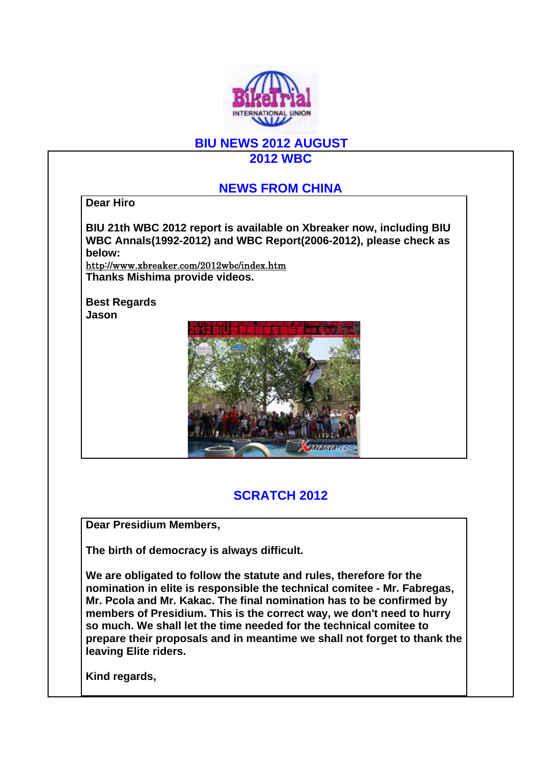

## **BIU NEWS 2012 AUGUST**

**2012 WBC**

### **NEWS FROM CHINA**

**Dear Hiro**

**BIU 21th WBC 2012 report is available on Xbreaker now, including BIU WBC Annals(1992-2012) and WBC Report(2006-2012), please check as below:**

http://www.xbreaker.com/2012wbc/index.htm **Thanks Mishima provide videos.**

**Best Regards Jason**



# **SCRATCH 2012**

**Dear Presidium Members,**

**The birth of democracy is always difficult.** 

**We are obligated to follow the statute and rules, therefore for the nomination in elite is responsible the technical comitee - Mr. Fabregas, Mr. Pcola and Mr. Kakac. The final nomination has to be confirmed by members of Presidium. This is the correct way, we don't need to hurry so much. We shall let the time needed for the technical comitee to prepare their proposals and in meantime we shall not forget to thank the leaving Elite riders.**

**Kind regards,**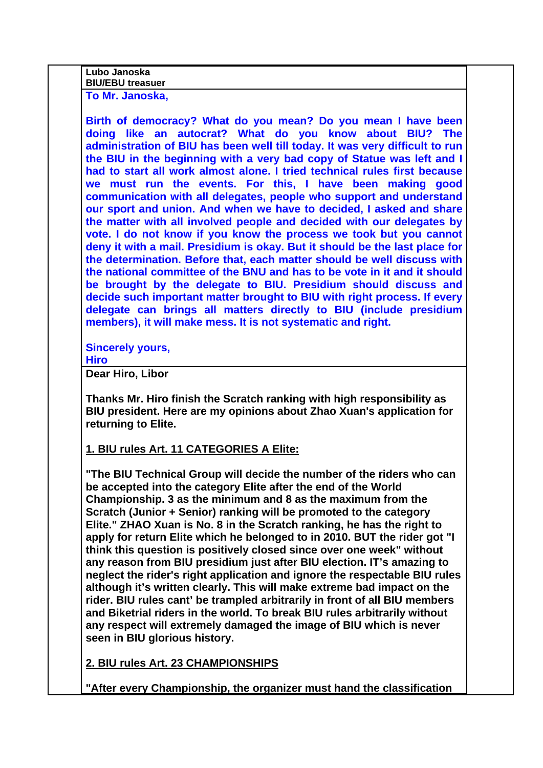| easuer<br> | Lubo<br><b>Januska</b> |
|------------|------------------------|
|            |                        |

**To Mr. Janoska,**

**Birth of democracy? What do you mean? Do you mean I have been doing like an autocrat? What do you know about BIU? The administration of BIU has been well till today. It was very difficult to run the BIU in the beginning with a very bad copy of Statue was left and I had to start all work almost alone. I tried technical rules first because we must run the events. For this, I have been making good communication with all delegates, people who support and understand our sport and union. And when we have to decided, I asked and share the matter with all involved people and decided with our delegates by vote. I do not know if you know the process we took but you cannot deny it with a mail. Presidium is okay. But it should be the last place for the determination. Before that, each matter should be well discuss with the national committee of the BNU and has to be vote in it and it should be brought by the delegate to BIU. Presidium should discuss and decide such important matter brought to BIU with right process. If every delegate can brings all matters directly to BIU (include presidium members), it will make mess. It is not systematic and right.** 

**Sincerely yours,**

**Hiro**

**Dear Hiro, Libor**

**Thanks Mr. Hiro finish the Scratch ranking with high responsibility as BIU president. Here are my opinions about Zhao Xuan's application for returning to Elite.**

### **1. BIU rules Art. 11 CATEGORIES A Elite:**

**"The BIU Technical Group will decide the number of the riders who can be accepted into the category Elite after the end of the World Championship. 3 as the minimum and 8 as the maximum from the Scratch (Junior + Senior) ranking will be promoted to the category Elite." ZHAO Xuan is No. 8 in the Scratch ranking, he has the right to apply for return Elite which he belonged to in 2010. BUT the rider got "I think this question is positively closed since over one week" without any reason from BIU presidium just after BIU election. IT's amazing to neglect the rider's right application and ignore the respectable BIU rules although it's written clearly. This will make extreme bad impact on the rider. BIU rules cant' be trampled arbitrarily in front of all BIU members and Biketrial riders in the world. To break BIU rules arbitrarily without any respect will extremely damaged the image of BIU which is never seen in BIU glorious history.**

**2. BIU rules Art. 23 CHAMPIONSHIPS**

**"After every Championship, the organizer must hand the classification**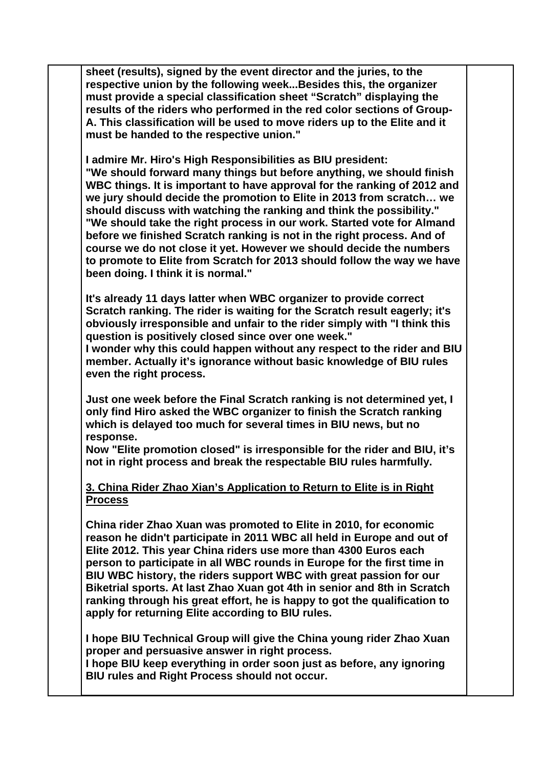**sheet (results), signed by the event director and the juries, to the respective union by the following week...Besides this, the organizer must provide a special classification sheet "Scratch" displaying the results of the riders who performed in the red color sections of Group-A. This classification will be used to move riders up to the Elite and it must be handed to the respective union."**

**I admire Mr. Hiro's High Responsibilities as BIU president: "We should forward many things but before anything, we should finish WBC things. It is important to have approval for the ranking of 2012 and we jury should decide the promotion to Elite in 2013 from scratch… we should discuss with watching the ranking and think the possibility." "We should take the right process in our work. Started vote for Almand before we finished Scratch ranking is not in the right process. And of course we do not close it yet. However we should decide the numbers to promote to Elite from Scratch for 2013 should follow the way we have been doing. I think it is normal."**

**It's already 11 days latter when WBC organizer to provide correct Scratch ranking. The rider is waiting for the Scratch result eagerly; it's obviously irresponsible and unfair to the rider simply with "I think this question is positively closed since over one week."** 

**I wonder why this could happen without any respect to the rider and BIU member. Actually it's ignorance without basic knowledge of BIU rules even the right process.**

**Just one week before the Final Scratch ranking is not determined yet, I only find Hiro asked the WBC organizer to finish the Scratch ranking which is delayed too much for several times in BIU news, but no response.** 

**Now "Elite promotion closed" is irresponsible for the rider and BIU, it's not in right process and break the respectable BIU rules harmfully.** 

#### **3. China Rider Zhao Xian's Application to Return to Elite is in Right Process**

**China rider Zhao Xuan was promoted to Elite in 2010, for economic reason he didn't participate in 2011 WBC all held in Europe and out of Elite 2012. This year China riders use more than 4300 Euros each person to participate in all WBC rounds in Europe for the first time in BIU WBC history, the riders support WBC with great passion for our Biketrial sports. At last Zhao Xuan got 4th in senior and 8th in Scratch ranking through his great effort, he is happy to got the qualification to apply for returning Elite according to BIU rules.**

**I hope BIU Technical Group will give the China young rider Zhao Xuan proper and persuasive answer in right process.** 

**I hope BIU keep everything in order soon just as before, any ignoring BIU rules and Right Process should not occur.**